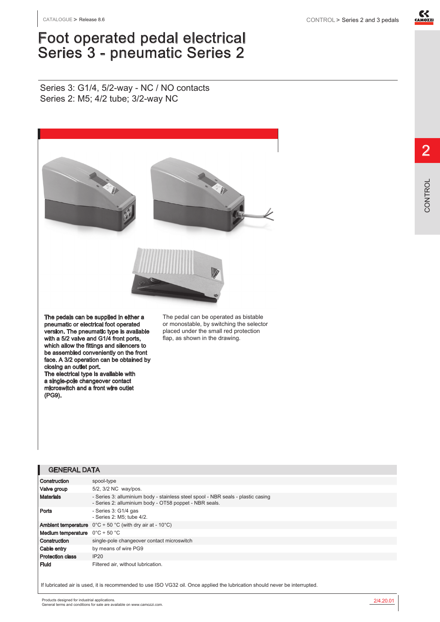

## Foot operated pedal electrical Series 3 - pneumatic Series 2

Series 3: G1/4, 5/2-way - NC / NO contacts Series 2: M5; 4/2 tube; 3/2-way NC



The pedals can be supplied in either a pneumatic or electrical foot operated version. The pneumatic type is available with a 5/2 valve and G1/4 front ports, which allow the fittings and silencers to be assembled conveniently on the front face. A 3/2 operation can be obtained by closing an outlet port. The electrical type is available with

a single-pole changeover contact microswitch and a front wire outlet (PG9).

The pedal can be operated as bistable or monostable, by switching the selector placed under the small red protection flap, as shown in the drawing.

## GENERAL DATA

| Construction                                            | spool-type                                                                                                                                 |
|---------------------------------------------------------|--------------------------------------------------------------------------------------------------------------------------------------------|
| Valve group                                             | 5/2, 3/2 NC way/pos.                                                                                                                       |
| <b>Materials</b>                                        | - Series 3: alluminium body - stainless steel spool - NBR seals - plastic casing<br>- Series 2: alluminium body - OT58 poppet - NBR seals. |
| Ports                                                   | - Series 3: G1/4 gas<br>- Series 2: M5: tube 4/2.                                                                                          |
|                                                         | <b>Ambient temperature</b> $0^{\circ}C \div 50^{\circ}C$ (with dry air at - 10 <sup>o</sup> C)                                             |
| <b>Medium temperature</b> $0^{\circ}C \div 50^{\circ}C$ |                                                                                                                                            |
| Construction                                            | single-pole changeover contact microswitch                                                                                                 |
| Cable entry                                             | by means of wire PG9                                                                                                                       |
| <b>Protection class</b>                                 | IP20                                                                                                                                       |
| Fluid                                                   | Filtered air, without lubrication.                                                                                                         |

If lubricated air is used, it is recommended to use ISO VG32 oil. Once applied the lubrication should never be interrupted.

2